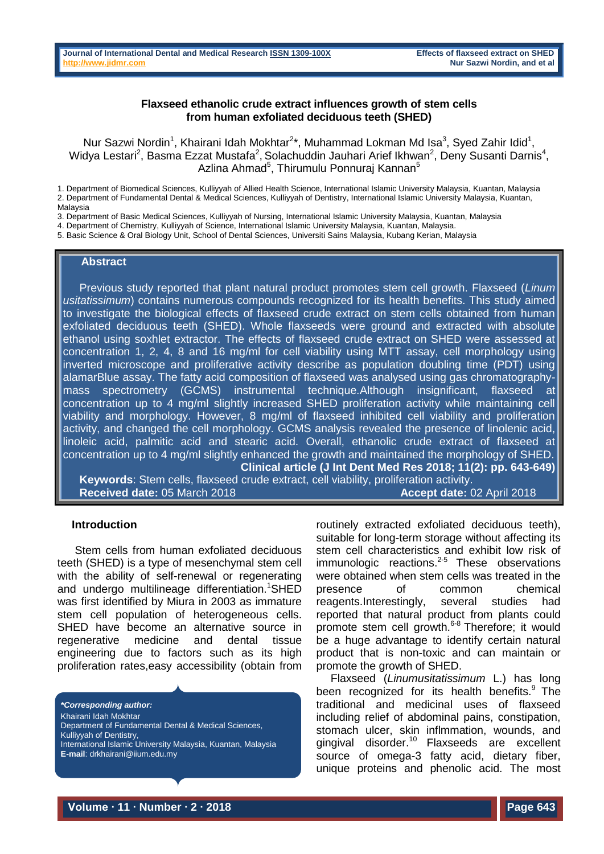#### **Flaxseed ethanolic crude extract influences growth of stem cells from human exfoliated deciduous teeth (SHED)**

Nur Sazwi Nordin<sup>1</sup>, Khairani Idah Mokhtar<sup>2\*</sup>, Muhammad Lokman Md Isa<sup>3</sup>, Syed Zahir Idid<sup>1</sup>, Widya Lestari<sup>2</sup>, Basma Ezzat Mustafa<sup>2</sup>, Solachuddin Jauhari Arief Ikhwan<sup>2</sup>, Deny Susanti Darnis<sup>4</sup>, Azlina Ahmad<sup>5</sup>, Thirumulu Ponnuraj Kannan<sup>5</sup>

1. Department of Biomedical Sciences, Kulliyyah of Allied Health Science, International Islamic University Malaysia, Kuantan, Malaysia

2. Department of Fundamental Dental & Medical Sciences, Kulliyyah of Dentistry, International Islamic University Malaysia, Kuantan,

**Malavsia** 

3. Department of Basic Medical Sciences, Kulliyyah of Nursing, International Islamic University Malaysia, Kuantan, Malaysia

4. Department of Chemistry, Kulliyyah of Science, International Islamic University Malaysia, Kuantan, Malaysia.

5. Basic Science & Oral Biology Unit, School of Dental Sciences, Universiti Sains Malaysia, Kubang Kerian, Malaysia

## **Abstract**

Previous study reported that plant natural product promotes stem cell growth. Flaxseed (*Linum usitatissimum*) contains numerous compounds recognized for its health benefits. This study aimed to investigate the biological effects of flaxseed crude extract on stem cells obtained from human exfoliated deciduous teeth (SHED). Whole flaxseeds were ground and extracted with absolute ethanol using soxhlet extractor. The effects of flaxseed crude extract on SHED were assessed at concentration 1, 2, 4, 8 and 16 mg/ml for cell viability using MTT assay, cell morphology using inverted microscope and proliferative activity describe as population doubling time (PDT) using alamarBlue assay. The fatty acid composition of flaxseed was analysed using gas chromatographymass spectrometry (GCMS) instrumental technique.Although insignificant, flaxseed at concentration up to 4 mg/ml slightly increased SHED proliferation activity while maintaining cell viability and morphology. However, 8 mg/ml of flaxseed inhibited cell viability and proliferation activity, and changed the cell morphology. GCMS analysis revealed the presence of linolenic acid, linoleic acid, palmitic acid and stearic acid. Overall, ethanolic crude extract of flaxseed at concentration up to 4 mg/ml slightly enhanced the growth and maintained the morphology of SHED. **Clinical article (J Int Dent Med Res 2018; 11(2): pp. 643-649)** 

**Keywords**: Stem cells, flaxseed crude extract, cell viability, proliferation activity. **Received date:** 05 March 2018 **Accept date:** 02 April 2018

#### **Introduction**

Stem cells from human exfoliated deciduous teeth (SHED) is a type of mesenchymal stem cell with the ability of self-renewal or regenerating and undergo multilineage differentiation.<sup>1</sup>SHED was first identified by Miura in 2003 as immature stem cell population of heterogeneous cells. SHED have become an alternative source in regenerative medicine and dental tissue engineering due to factors such as its high proliferation rates,easy accessibility (obtain from

*\*Corresponding author:* Khairani Idah Mokhtar Department of Fundamental Dental & Medical Sciences, Kulliyyah of Dentistry, International Islamic University Malaysia, Kuantan, Malaysia **E-mail**: drkhairani@iium.edu.my

routinely extracted exfoliated deciduous teeth), suitable for long-term storage without affecting its stem cell characteristics and exhibit low risk of  $immunoloqic$  reactions. $2-5$  These observations were obtained when stem cells was treated in the presence of common chemical reagents.Interestingly, several studies had reported that natural product from plants could promote stem cell growth.6-8 Therefore; it would be a huge advantage to identify certain natural product that is non-toxic and can maintain or promote the growth of SHED.

Flaxseed (*Linumusitatissimum* L.) has long been recognized for its health benefits.<sup>9</sup> The traditional and medicinal uses of flaxseed including relief of abdominal pains, constipation, stomach ulcer, skin inflmmation, wounds, and gingival disorder.<sup>10</sup> Flaxseeds are excellent source of omega-3 fatty acid, dietary fiber, unique proteins and phenolic acid. The most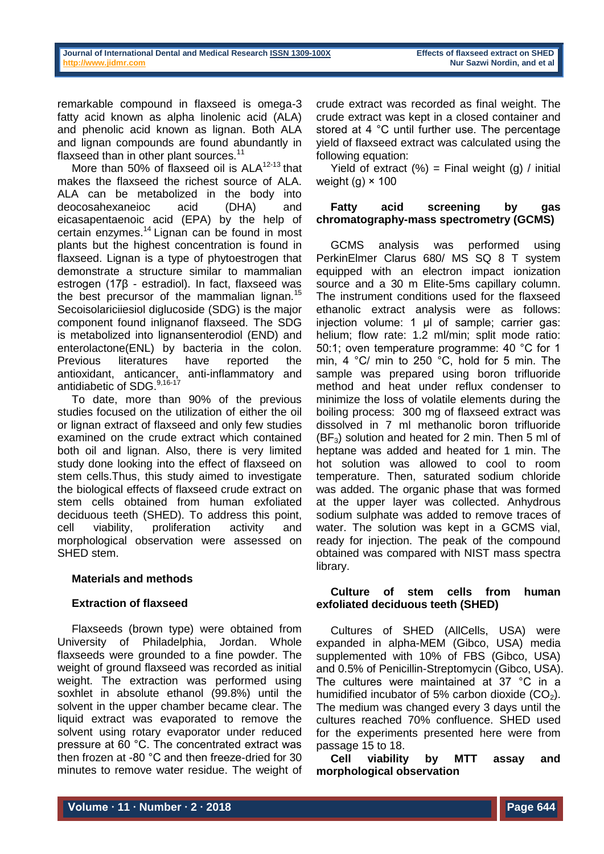remarkable compound in flaxseed is omega-3 fatty acid known as alpha linolenic acid (ALA) and phenolic acid known as lignan. Both ALA and lignan compounds are found abundantly in flaxseed than in other plant sources.<sup>11</sup>

More than 50% of flaxseed oil is ALA<sup>12-13</sup> that makes the flaxseed the richest source of ALA. ALA can be metabolized in the body into deocosahexaneioc acid (DHA) and eicasapentaenoic acid (EPA) by the help of certain enzymes.<sup>14</sup> Lignan can be found in most plants but the highest concentration is found in flaxseed. Lignan is a type of phytoestrogen that demonstrate a structure similar to mammalian estrogen (17β - estradiol). In fact, flaxseed was the best precursor of the mammalian lignan.<sup>15</sup> Secoisolariciiesiol diglucoside (SDG) is the major component found inlignanof flaxseed. The SDG is metabolized into lignansenterodiol (END) and enterolactone(ENL) by bacteria in the colon. Previous literatures have reported the antioxidant, anticancer, anti-inflammatory and antidiabetic of SDG.<sup>9,16-17</sup>

To date, more than 90% of the previous studies focused on the utilization of either the oil or lignan extract of flaxseed and only few studies examined on the crude extract which contained both oil and lignan. Also, there is very limited study done looking into the effect of flaxseed on stem cells.Thus, this study aimed to investigate the biological effects of flaxseed crude extract on stem cells obtained from human exfoliated deciduous teeth (SHED). To address this point, cell viability, proliferation activity and morphological observation were assessed on SHED stem.

### **Materials and methods**

# **Extraction of flaxseed**

Flaxseeds (brown type) were obtained from University of Philadelphia, Jordan. Whole flaxseeds were grounded to a fine powder. The weight of ground flaxseed was recorded as initial weight. The extraction was performed using soxhlet in absolute ethanol (99.8%) until the solvent in the upper chamber became clear. The liquid extract was evaporated to remove the solvent using rotary evaporator under reduced pressure at 60 °C. The concentrated extract was then frozen at -80 °C and then freeze-dried for 30 minutes to remove water residue. The weight of

crude extract was recorded as final weight. The crude extract was kept in a closed container and stored at 4 °C until further use. The percentage yield of flaxseed extract was calculated using the following equation:

Yield of extract  $(\%)$  = Final weight  $(g)$  / initial weight  $(q) \times 100$ 

## **Fatty acid screening by gas chromatography-mass spectrometry (GCMS)**

GCMS analysis was performed using PerkinElmer Clarus 680/ MS SQ 8 T system equipped with an electron impact ionization source and a 30 m Elite-5ms capillary column. The instrument conditions used for the flaxseed ethanolic extract analysis were as follows: injection volume: 1 μl of sample; carrier gas: helium; flow rate: 1.2 ml/min; split mode ratio: 50:1; oven temperature programme: 40 °C for 1 min, 4 °C/ min to 250 °C, hold for 5 min. The sample was prepared using boron trifluoride method and heat under reflux condenser to minimize the loss of volatile elements during the boiling process: 300 mg of flaxseed extract was dissolved in 7 ml methanolic boron trifluoride  $(BF_3)$  solution and heated for 2 min. Then 5 ml of heptane was added and heated for 1 min. The hot solution was allowed to cool to room temperature. Then, saturated sodium chloride was added. The organic phase that was formed at the upper layer was collected. Anhydrous sodium sulphate was added to remove traces of water. The solution was kept in a GCMS vial, ready for injection. The peak of the compound obtained was compared with NIST mass spectra library.

## **Culture of stem cells from human exfoliated deciduous teeth (SHED)**

Cultures of SHED (AllCells, USA) were expanded in alpha-MEM (Gibco, USA) media supplemented with 10% of FBS (Gibco, USA) and 0.5% of Penicillin-Streptomycin (Gibco, USA). The cultures were maintained at 37 °C in a humidified incubator of 5% carbon dioxide  $(CO<sub>2</sub>)$ . The medium was changed every 3 days until the cultures reached 70% confluence. SHED used for the experiments presented here were from passage 15 to 18.

**Cell viability by MTT assay and morphological observation**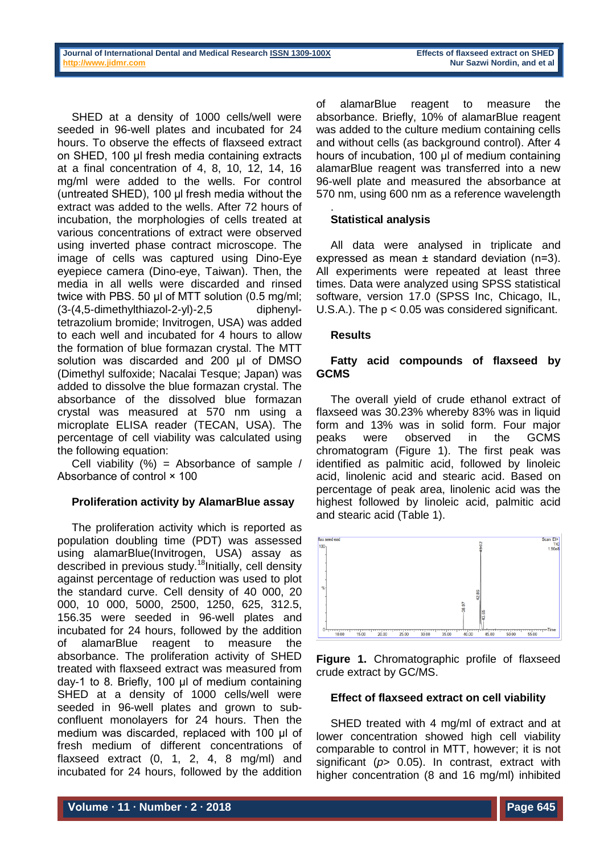SHED at a density of 1000 cells/well were seeded in 96-well plates and incubated for 24 hours. To observe the effects of flaxseed extract on SHED, 100 μl fresh media containing extracts at a final concentration of 4, 8, 10, 12, 14, 16 mg/ml were added to the wells. For control (untreated SHED), 100 μl fresh media without the extract was added to the wells. After 72 hours of incubation, the morphologies of cells treated at various concentrations of extract were observed using inverted phase contract microscope. The image of cells was captured using Dino-Eye eyepiece camera (Dino-eye, Taiwan). Then, the media in all wells were discarded and rinsed twice with PBS. 50 μl of MTT solution (0.5 mg/ml; (3-(4,5-dimethylthiazol-2-yl)-2,5 diphenyltetrazolium bromide; Invitrogen, USA) was added to each well and incubated for 4 hours to allow the formation of blue formazan crystal. The MTT solution was discarded and 200 μl of DMSO (Dimethyl sulfoxide; Nacalai Tesque; Japan) was added to dissolve the blue formazan crystal. The absorbance of the dissolved blue formazan crystal was measured at 570 nm using a microplate ELISA reader (TECAN, USA). The percentage of cell viability was calculated using the following equation:

Cell viability  $(%)$  = Absorbance of sample / Absorbance of control × 100

# **Proliferation activity by AlamarBlue assay**

The proliferation activity which is reported as population doubling time (PDT) was assessed using alamarBlue(Invitrogen, USA) assay as described in previous study.<sup>18</sup>Initially, cell density against percentage of reduction was used to plot the standard curve. Cell density of 40 000, 20 000, 10 000, 5000, 2500, 1250, 625, 312.5, 156.35 were seeded in 96-well plates and incubated for 24 hours, followed by the addition of alamarBlue reagent to measure the absorbance. The proliferation activity of SHED treated with flaxseed extract was measured from day-1 to 8. Briefly, 100 μl of medium containing SHED at a density of 1000 cells/well were seeded in 96-well plates and grown to subconfluent monolayers for 24 hours. Then the medium was discarded, replaced with 100 μl of fresh medium of different concentrations of flaxseed extract (0, 1, 2, 4, 8 mg/ml) and incubated for 24 hours, followed by the addition

of alamarBlue reagent to measure the absorbance. Briefly, 10% of alamarBlue reagent was added to the culture medium containing cells and without cells (as background control). After 4 hours of incubation, 100 μl of medium containing alamarBlue reagent was transferred into a new 96-well plate and measured the absorbance at 570 nm, using 600 nm as a reference wavelength

#### . **Statistical analysis**

All data were analysed in triplicate and expressed as mean ± standard deviation (n=3). All experiments were repeated at least three times. Data were analyzed using SPSS statistical software, version 17.0 (SPSS Inc, Chicago, IL, U.S.A.). The p < 0.05 was considered significant.

# **Results**

# **Fatty acid compounds of flaxseed by GCMS**

The overall yield of crude ethanol extract of flaxseed was 30.23% whereby 83% was in liquid form and 13% was in solid form. Four major peaks were observed in the GCMS chromatogram (Figure 1). The first peak was identified as palmitic acid, followed by linoleic acid, linolenic acid and stearic acid. Based on percentage of peak area, linolenic acid was the highest followed by linoleic acid, palmitic acid and stearic acid (Table 1).





# **Effect of flaxseed extract on cell viability**

SHED treated with 4 mg/ml of extract and at lower concentration showed high cell viability comparable to control in MTT, however; it is not significant (*p*> 0.05). In contrast, extract with higher concentration (8 and 16 mg/ml) inhibited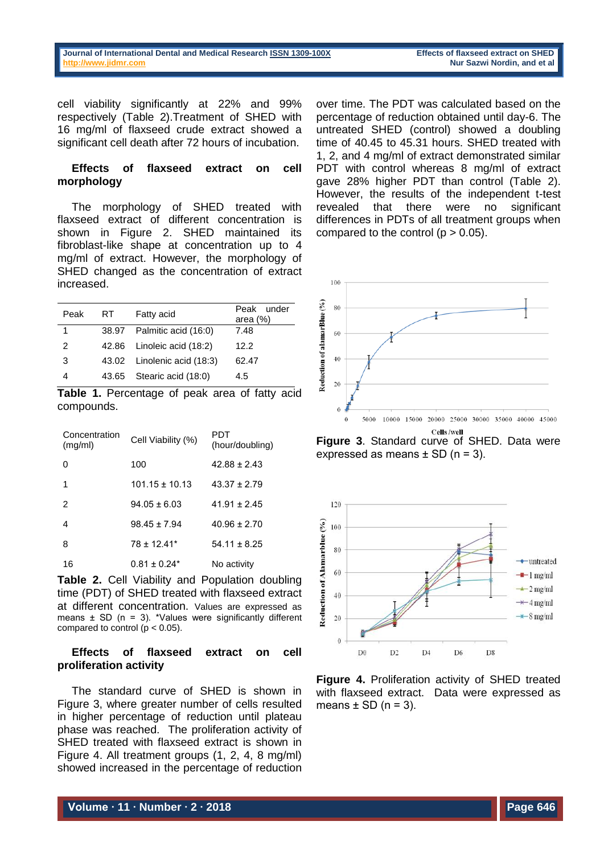cell viability significantly at 22% and 99% respectively (Table 2).Treatment of SHED with 16 mg/ml of flaxseed crude extract showed a significant cell death after 72 hours of incubation.

### **Effects of flaxseed extract on cell morphology**

The morphology of SHED treated with flaxseed extract of different concentration is shown in Figure 2. SHED maintained its fibroblast-like shape at concentration up to 4 mg/ml of extract. However, the morphology of SHED changed as the concentration of extract increased.

| Peak | RT. | Fatty acid                  | Peak under<br>area $(%)$ |
|------|-----|-----------------------------|--------------------------|
|      |     | 38.97 Palmitic acid (16:0)  | 7.48                     |
| 2    |     | 42.86 Linoleic acid (18:2)  | 12.2                     |
| 3    |     | 43.02 Linolenic acid (18:3) | 62.47                    |
| 4    |     | 43.65 Stearic acid (18:0)   | 4.5                      |

**Table 1.** Percentage of peak area of fatty acid compounds.

| Concentration<br>(mg/ml) | Cell Viability (%) | PDT<br>(hour/doubling) |
|--------------------------|--------------------|------------------------|
| 0                        | 100                | $42.88 \pm 2.43$       |
|                          | $101.15 + 10.13$   | $43.37 \pm 2.79$       |
| 2                        | $94.05 \pm 6.03$   | $41.91 + 2.45$         |
| 4                        | $98.45 + 7.94$     | $40.96 \pm 2.70$       |
| 8                        | $78 + 12.41*$      | $54.11 \pm 8.25$       |
| 16                       | $0.81 \pm 0.24*$   | No activity            |

**Table 2.** Cell Viability and Population doubling time (PDT) of SHED treated with flaxseed extract at different concentration. Values are expressed as means  $\pm$  SD (n = 3). \*Values were significantly different compared to control ( $p < 0.05$ ).

## **Effects of flaxseed extract on cell proliferation activity**

The standard curve of SHED is shown in Figure 3, where greater number of cells resulted in higher percentage of reduction until plateau phase was reached. The proliferation activity of SHED treated with flaxseed extract is shown in Figure 4. All treatment groups (1, 2, 4, 8 mg/ml) showed increased in the percentage of reduction over time. The PDT was calculated based on the percentage of reduction obtained until day-6. The untreated SHED (control) showed a doubling time of 40.45 to 45.31 hours. SHED treated with 1, 2, and 4 mg/ml of extract demonstrated similar PDT with control whereas 8 mg/ml of extract gave 28% higher PDT than control (Table 2). However, the results of the independent t-test revealed that there were no significant differences in PDTs of all treatment groups when compared to the control  $(p > 0.05)$ .



**Figure 3**. Standard curve of SHED. Data were expressed as means  $\pm$  SD (n = 3).



**Figure 4.** Proliferation activity of SHED treated with flaxseed extract. Data were expressed as means  $\pm$  SD (n = 3).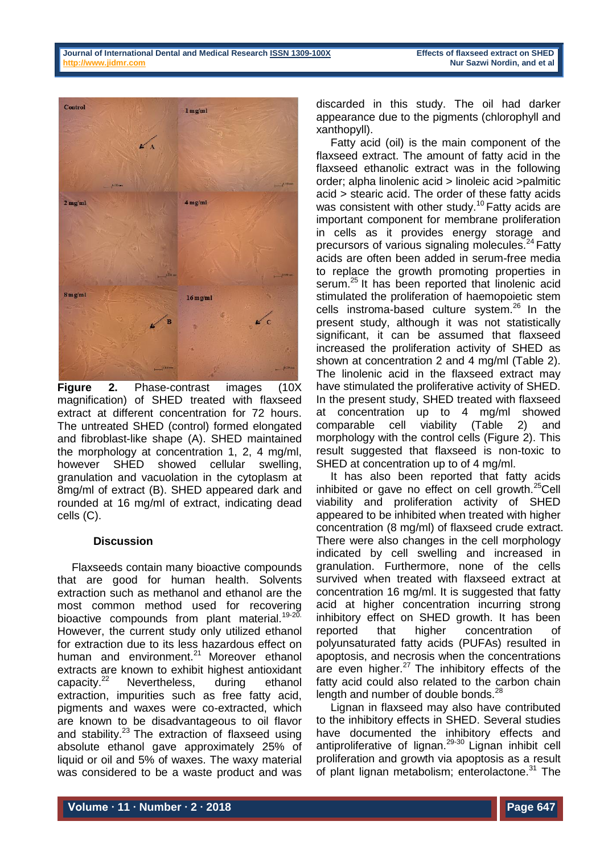

**Figure 2.** Phase-contrast images (10X magnification) of SHED treated with flaxseed extract at different concentration for 72 hours. The untreated SHED (control) formed elongated and fibroblast-like shape (A). SHED maintained the morphology at concentration 1, 2, 4 mg/ml, however SHED showed cellular swelling, granulation and vacuolation in the cytoplasm at 8mg/ml of extract (B). SHED appeared dark and rounded at 16 mg/ml of extract, indicating dead cells (C).

## **Discussion**

Flaxseeds contain many bioactive compounds that are good for human health. Solvents extraction such as methanol and ethanol are the most common method used for recovering bioactive compounds from plant material.<sup>19-20.</sup> However, the current study only utilized ethanol for extraction due to its less hazardous effect on human and environment.<sup>21</sup> Moreover ethanol extracts are known to exhibit highest antioxidant capacity.<sup>22</sup> Nevertheless, during ethanol Nevertheless, during ethanol extraction, impurities such as free fatty acid, pigments and waxes were co-extracted, which are known to be disadvantageous to oil flavor and stability. $^{23}$  The extraction of flaxseed using absolute ethanol gave approximately 25% of liquid or oil and 5% of waxes. The waxy material was considered to be a waste product and was

discarded in this study. The oil had darker appearance due to the pigments (chlorophyll and xanthopyll).

Fatty acid (oil) is the main component of the flaxseed extract. The amount of fatty acid in the flaxseed ethanolic extract was in the following order; alpha linolenic acid > linoleic acid >palmitic acid > stearic acid. The order of these fatty acids was consistent with other study.<sup>10</sup> Fatty acids are important component for membrane proliferation in cells as it provides energy storage and precursors of various signaling molecules.<sup>24</sup> Fatty acids are often been added in serum-free media to replace the growth promoting properties in serum.<sup>25</sup> It has been reported that linolenic acid stimulated the proliferation of haemopoietic stem cells instroma-based culture system.<sup>26</sup> In the present study, although it was not statistically significant, it can be assumed that flaxseed increased the proliferation activity of SHED as shown at concentration 2 and 4 mg/ml (Table 2). The linolenic acid in the flaxseed extract may have stimulated the proliferative activity of SHED. In the present study, SHED treated with flaxseed at concentration up to 4 mg/ml showed comparable cell viability (Table 2) and morphology with the control cells (Figure 2). This result suggested that flaxseed is non-toxic to SHED at concentration up to of 4 mg/ml.

It has also been reported that fatty acids inhibited or gave no effect on cell growth. $25$ Cell viability and proliferation activity of SHED appeared to be inhibited when treated with higher concentration (8 mg/ml) of flaxseed crude extract. There were also changes in the cell morphology indicated by cell swelling and increased in granulation. Furthermore, none of the cells survived when treated with flaxseed extract at concentration 16 mg/ml. It is suggested that fatty acid at higher concentration incurring strong inhibitory effect on SHED growth. It has been reported that higher concentration of polyunsaturated fatty acids (PUFAs) resulted in apoptosis, and necrosis when the concentrations are even higher. $27$  The inhibitory effects of the fatty acid could also related to the carbon chain length and number of double bonds.<sup>28</sup>

Lignan in flaxseed may also have contributed to the inhibitory effects in SHED. Several studies have documented the inhibitory effects and antiproliferative of lignan.<sup>29-30</sup> Lignan inhibit cell proliferation and growth via apoptosis as a result of plant lignan metabolism; enterolactone.<sup>31</sup> The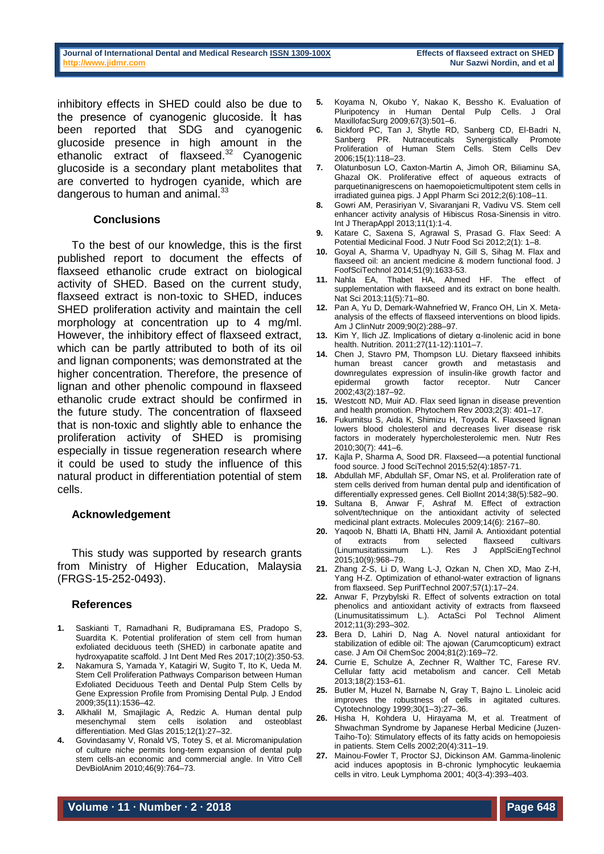inhibitory effects in SHED could also be due to the presence of cyanogenic glucoside. İt has been reported that SDG and cyanogenic glucoside presence in high amount in the ethanolic extract of flaxseed.<sup>32</sup> Cyanogenic glucoside is a secondary plant metabolites that are converted to hydrogen cyanide, which are dangerous to human and animal.<sup>33</sup>

#### **Conclusions**

To the best of our knowledge, this is the first published report to document the effects of flaxseed ethanolic crude extract on biological activity of SHED. Based on the current study, flaxseed extract is non-toxic to SHED, induces SHED proliferation activity and maintain the cell morphology at concentration up to 4 mg/ml. However, the inhibitory effect of flaxseed extract, which can be partly attributed to both of its oil and lignan components; was demonstrated at the higher concentration. Therefore, the presence of lignan and other phenolic compound in flaxseed ethanolic crude extract should be confirmed in the future study. The concentration of flaxseed that is non-toxic and slightly able to enhance the proliferation activity of SHED is promising especially in tissue regeneration research where it could be used to study the influence of this natural product in differentiation potential of stem cells.

#### **Acknowledgement**

This study was supported by research grants from Ministry of Higher Education, Malaysia (FRGS-15-252-0493).

#### **References**

- **1.** Saskianti T, Ramadhani R, Budipramana ES, Pradopo S, Suardita K. Potential proliferation of stem cell from human exfoliated deciduous teeth (SHED) in carbonate apatite and hydroxyapatite scaffold. J Int Dent Med Res 2017;10(2):350-53.
- **2.** Nakamura S, Yamada Y, Katagiri W, Sugito T, Ito K, Ueda M. Stem Cell Proliferation Pathways Comparison between Human Exfoliated Deciduous Teeth and Dental Pulp Stem Cells by Gene Expression Profile from Promising Dental Pulp. J Endod 2009;35(11):1536–42.
- **3.** Alkhalil M, Smajilagic A, Redzic A. Human dental pulp mesenchymal stem cells isolation and osteoblast differentiation. Med Glas 2015;12(1):27–32.
- **4.** Govindasamy V, Ronald VS, Totey S, et al. Micromanipulation of culture niche permits long-term expansion of dental pulp stem cells-an economic and commercial angle. In Vitro Cell DevBiolAnim 2010;46(9):764–73.
- **5.** Koyama N, Okubo Y, Nakao K, Bessho K. Evaluation of Pluripotency in Human Dental Pulp Cells. J Oral MaxillofacSurg 2009;67(3):501–6.
- **6.** Bickford PC, Tan J, Shytle RD, Sanberg CD, El-Badri N, Sanberg PR. Nutraceuticals Proliferation of Human Stem Cells. Stem Cells Dev 2006;15(1):118–23.
- **7.** Olatunbosun LO, Caxton-Martin A, Jimoh OR, Biliaminu SA, Ghazal OK. Proliferative effect of aqueous extracts of parquetinanigrescens on haemopoieticmultipotent stem cells in irradiated guinea pigs. J Appl Pharm Sci 2012;2(6):108–11.
- **8.** Gowri AM, Perasiriyan V, Sivaranjani R, Vadivu VS. Stem cell enhancer activity analysis of Hibiscus Rosa-Sinensis in vitro. Int J TherapAppl 2013;11(1):1-4.
- **9.** Katare C, Saxena S, Agrawal S, Prasad G. Flax Seed: A Potential Medicinal Food. J Nutr Food Sci 2012;2(1): 1–8.
- **10.** Goyal A, Sharma V, Upadhyay N, Gill S, Sihag M. Flax and flaxseed oil: an ancient medicine & modern functional food. J FoofSciTechnol 2014;51(9):1633-53.
- **11.** Nahla EA, Thabet HA, Ahmed HF. The effect of supplementation with flaxseed and its extract on bone health. Nat Sci 2013;11(5):71–80.
- **12.** Pan A, Yu D, Demark-Wahnefried W, Franco OH, Lin X. Metaanalysis of the effects of flaxseed interventions on blood lipids. Am J ClinNutr 2009;90(2):288–97.
- **13.** Kim Y, Ilich JZ. Implications of dietary α-linolenic acid in bone health. Nutrition. 2011;27(11-12):1101–7.
- **14.** Chen J, Stavro PM, Thompson LU. Dietary flaxseed inhibits human breast cancer growth and metastasis and downregulates expression of insulin-like growth factor and<br>epidermal growth factor receptor. Nutr Cancer growth factor receptor. Nutr Cancer 2002;43(2):187–92.
- **15.** Westcott ND, Muir AD. Flax seed lignan in disease prevention and health promotion. Phytochem Rev 2003;2(3): 401–17.
- **16.** Fukumitsu S, Aida K, Shimizu H, Toyoda K. Flaxseed lignan lowers blood cholesterol and decreases liver disease risk factors in moderately hypercholesterolemic men. Nutr Res 2010;30(7): 441–6.
- **17.** Kajla P, Sharma A, Sood DR. Flaxseed—a potential functional food source. J food SciTechnol 2015;52(4):1857-71.
- **18.** Abdullah MF, Abdullah SF, Omar NS, et al. Proliferation rate of stem cells derived from human dental pulp and identification of differentially expressed genes. Cell BiolInt 2014;38(5):582–90.
- **19.** Sultana B, Anwar F, Ashraf M. Effect of extraction solvent/technique on the antioxidant activity of selected medicinal plant extracts. Molecules 2009;14(6): 2167–80.
- **20.** Yaqoob N, Bhatti IA, Bhatti HN, Jamil A. Antioxidant potential of extracts from selected flaxseed cultivars<br>(Linumusitatissimum L.). Res J ApplSciEngTechnol  $(Linumusitatissimum L.).$  Res 2015;10(9):968–79.
- **21.** Zhang Z-S, Li D, Wang L-J, Ozkan N, Chen XD, Mao Z-H, Yang H-Z. Optimization of ethanol-water extraction of lignans from flaxseed. Sep PurifTechnol 2007;57(1):17–24.
- **22.** Anwar F, Przybylski R. Effect of solvents extraction on total phenolics and antioxidant activity of extracts from flaxseed (Linumusitatissimum L.). ActaSci Pol Technol Aliment 2012;11(3):293–302.
- **23.** Bera D, Lahiri D, Nag A. Novel natural antioxidant for stabilization of edible oil: The ajowan (Carumcopticum) extract case. J Am Oil ChemSoc 2004;81(2):169–72.
- **24.** Currie E, Schulze A, Zechner R, Walther TC, Farese RV. Cellular fatty acid metabolism and cancer. Cell Metab 2013;18(2):153–61.
- **25.** Butler M, Huzel N, Barnabe N, Gray T, Bajno L. Linoleic acid improves the robustness of cells in agitated cultures. Cytotechnology 1999;30(1–3):27–36.
- **26.** Hisha H, Kohdera U, Hirayama M, et al. Treatment of Shwachman Syndrome by Japanese Herbal Medicine (Juzen-Taiho-To): Stimulatory effects of its fatty acids on hemopoiesis in patients. Stem Cells 2002;20(4):311–19.
- **27.** Mainou-Fowler T, Proctor SJ, Dickinson AM. Gamma-linolenic acid induces apoptosis in B-chronic lymphocytic leukaemia cells in vitro. Leuk Lymphoma 2001; 40(3-4):393–403.